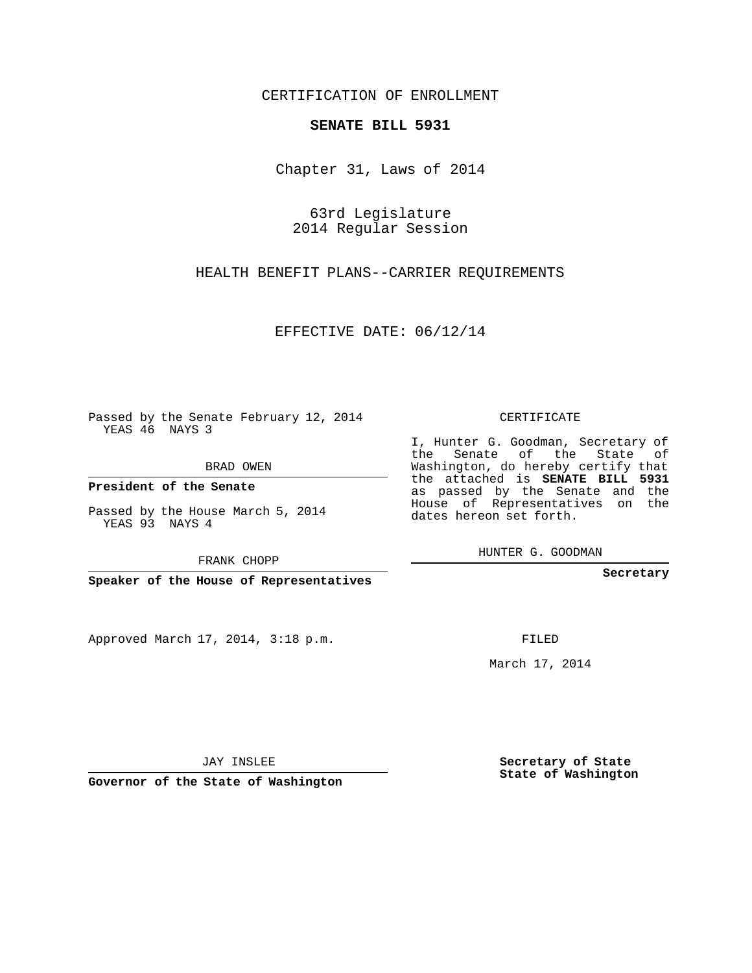CERTIFICATION OF ENROLLMENT

## **SENATE BILL 5931**

Chapter 31, Laws of 2014

63rd Legislature 2014 Regular Session

HEALTH BENEFIT PLANS--CARRIER REQUIREMENTS

EFFECTIVE DATE: 06/12/14

Passed by the Senate February 12, 2014 YEAS 46 NAYS 3

BRAD OWEN

**President of the Senate**

Passed by the House March 5, 2014 YEAS 93 NAYS 4

FRANK CHOPP

**Speaker of the House of Representatives**

Approved March 17, 2014, 3:18 p.m.

CERTIFICATE

I, Hunter G. Goodman, Secretary of the Senate of the State of Washington, do hereby certify that the attached is **SENATE BILL 5931** as passed by the Senate and the House of Representatives on the dates hereon set forth.

HUNTER G. GOODMAN

**Secretary**

FILED

March 17, 2014

**Secretary of State State of Washington**

JAY INSLEE

**Governor of the State of Washington**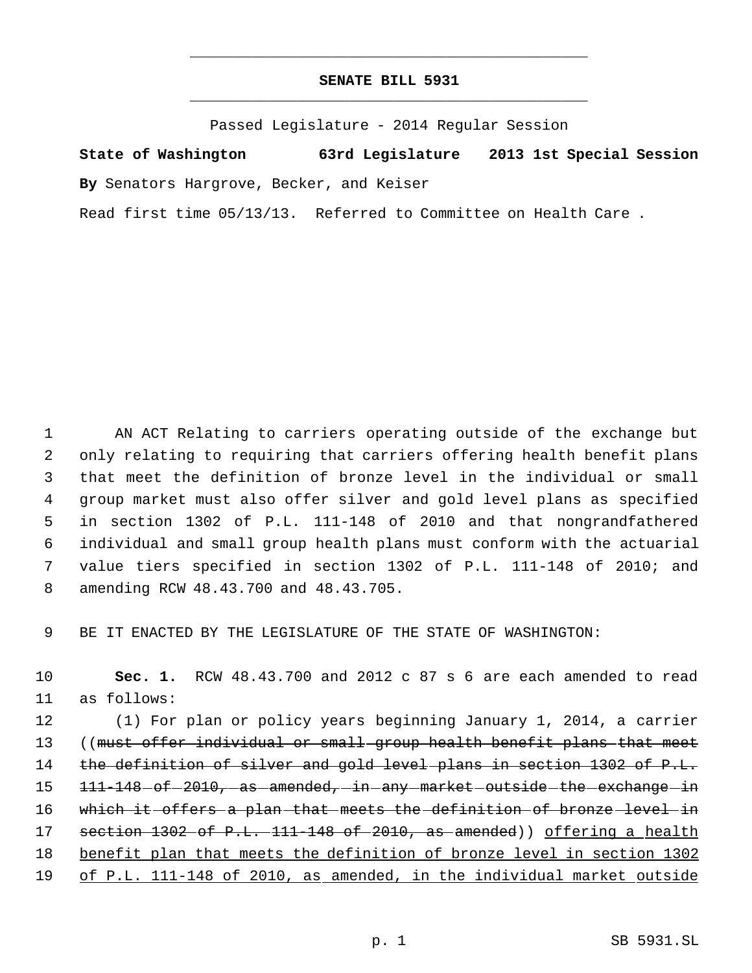## **SENATE BILL 5931** \_\_\_\_\_\_\_\_\_\_\_\_\_\_\_\_\_\_\_\_\_\_\_\_\_\_\_\_\_\_\_\_\_\_\_\_\_\_\_\_\_\_\_\_\_

\_\_\_\_\_\_\_\_\_\_\_\_\_\_\_\_\_\_\_\_\_\_\_\_\_\_\_\_\_\_\_\_\_\_\_\_\_\_\_\_\_\_\_\_\_

Passed Legislature - 2014 Regular Session

**State of Washington 63rd Legislature 2013 1st Special Session By** Senators Hargrove, Becker, and Keiser Read first time 05/13/13. Referred to Committee on Health Care .

 AN ACT Relating to carriers operating outside of the exchange but only relating to requiring that carriers offering health benefit plans that meet the definition of bronze level in the individual or small group market must also offer silver and gold level plans as specified in section 1302 of P.L. 111-148 of 2010 and that nongrandfathered individual and small group health plans must conform with the actuarial value tiers specified in section 1302 of P.L. 111-148 of 2010; and amending RCW 48.43.700 and 48.43.705.

9 BE IT ENACTED BY THE LEGISLATURE OF THE STATE OF WASHINGTON:

10 **Sec. 1.** RCW 48.43.700 and 2012 c 87 s 6 are each amended to read 11 as follows:

12 (1) For plan or policy years beginning January 1, 2014, a carrier 13 ((must offer individual or small group health benefit plans that meet 14 the definition of silver and gold level plans in section 1302 of P.L. 15 111-148 of 2010, as amended, in any market outside the exchange in 16 which it offers a plan that meets the definition of bronze level in 17 section 1302 of P.L. 111 148 of 2010, as amended) offering a health 18 benefit plan that meets the definition of bronze level in section 1302 19 of P.L. 111-148 of 2010, as amended, in the individual market outside